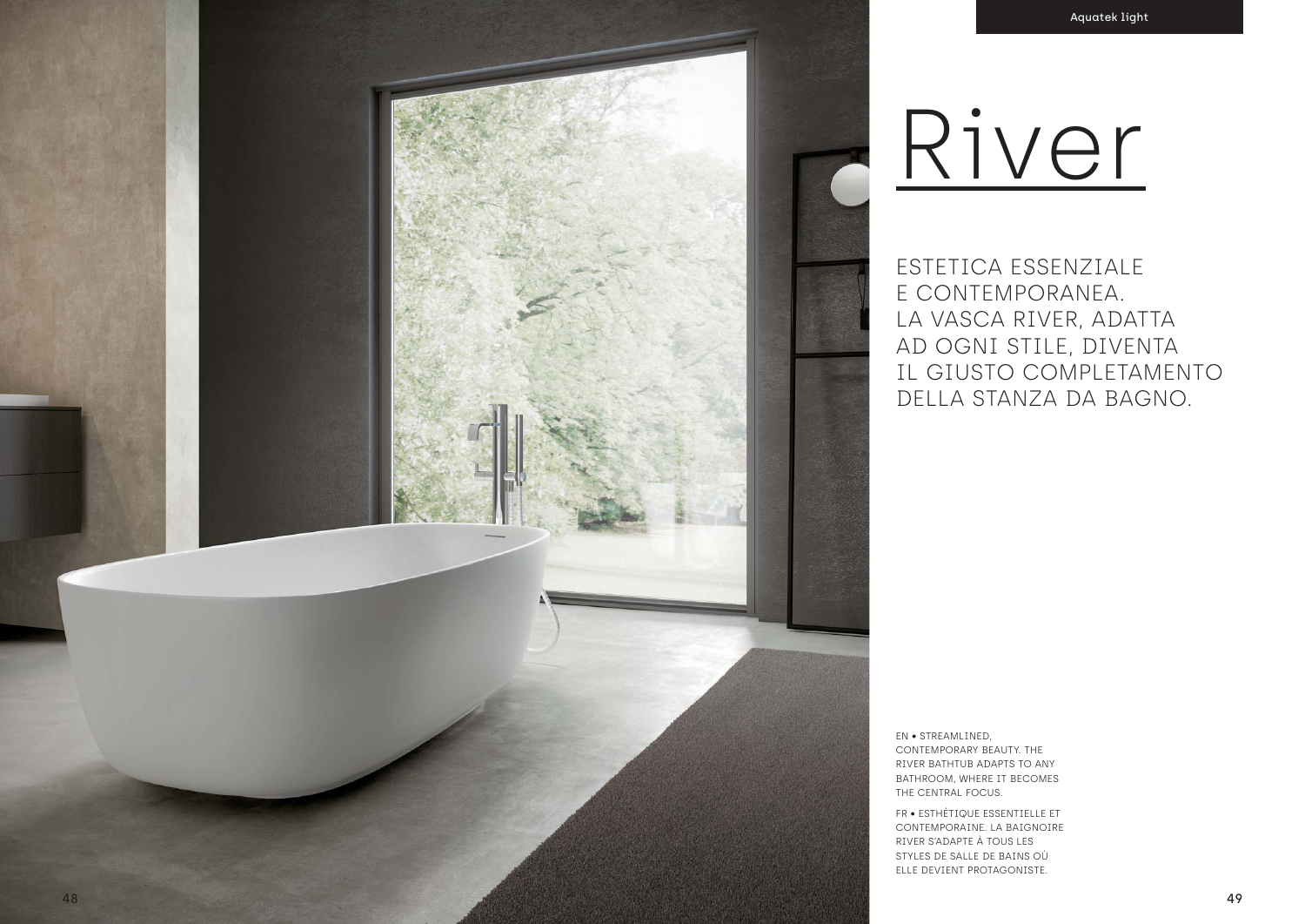

# River

ESTETICA ESSENZIALE E CONTEMPORANEA. LA VASCA RIVER, ADATTA AD OGNI STILE, DIVENTA IL GIUSTO COMPLETAMENTO DELLA STANZA DA BAGNO.